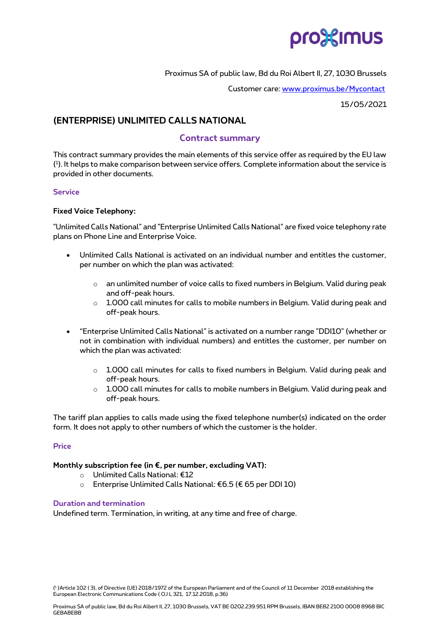

Proximus SA of public law, Bd du Roi Albert II, 27, 1030 Brussels

Customer care: [www.proximus.be/Mycontact](http://www.proximus.be/Mycontact)

15/05/2021

# **(ENTERPRISE) UNLIMITED CALLS NATIONAL**

## **Contract summary**

This contract summary provides the main elements of this service offer as required by the EU law ( 1 ). It helps to make comparison between service offers. Complete information about the service is provided in other documents.

## **Service**

## **Fixed Voice Telephony:**

"Unlimited Calls National" and "Enterprise Unlimited Calls National" are fixed voice telephony rate plans on Phone Line and Enterprise Voice.

- Unlimited Calls National is activated on an individual number and entitles the customer, per number on which the plan was activated:
	- $\circ$  an unlimited number of voice calls to fixed numbers in Belgium. Valid during peak and off-peak hours.
	- o 1.000 call minutes for calls to mobile numbers in Belgium. Valid during peak and off-peak hours.
- "Enterprise Unlimited Calls National" is activated on a number range "DDI10" (whether or not in combination with individual numbers) and entitles the customer, per number on which the plan was activated:
	- $\circ$  1.000 call minutes for calls to fixed numbers in Belgium. Valid during peak and off-peak hours.
	- o 1.000 call minutes for calls to mobile numbers in Belgium. Valid during peak and off-peak hours.

The tariff plan applies to calls made using the fixed telephone number(s) indicated on the order form. It does not apply to other numbers of which the customer is the holder.

## **Price**

## **Monthly subscription fee (in €, per number, excluding VAT):**

- o Unlimited Calls National: €12
- o Enterprise Unlimited Calls National: €6.5 (€ 65 per DDI 10)

#### **Duration and termination**

Undefined term. Termination, in writing, at any time and free of charge.